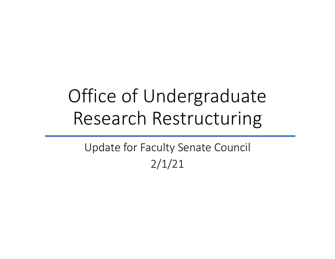# Office of Undergraduate Research Restructuring

Update for Faculty Senate Council 2/1/21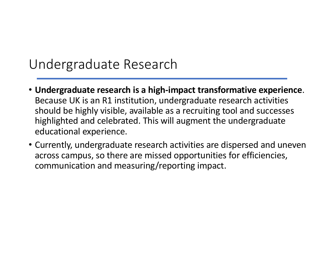### Undergraduate Research

- **Undergraduate research is a high-impact transformative experience**. Because UK is an R1 institution, undergraduate research activities should be highly visible, available as a recruiting tool and successes highlighted and celebrated. This will augment the undergraduate educational experience.
- Currently, undergraduate research activities are dispersed and uneven across campus, so there are missed opportunities for efficiencies, communication and measuring/reporting impact.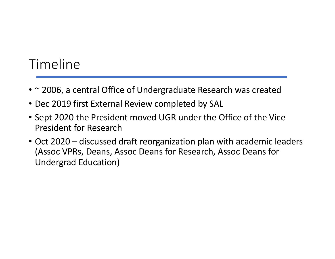# Timeline

- ~ 2006, a central Office of Undergraduate Research was created
- Dec 2019 first External Review completed by SAL
- Sept 2020 the President moved UGR under the Office of the Vice President for Research
- Oct 2020 discussed draft reorganization plan with academic leaders (Assoc VPRs, Deans, Assoc Deans for Research, Assoc Deans for Undergrad Education)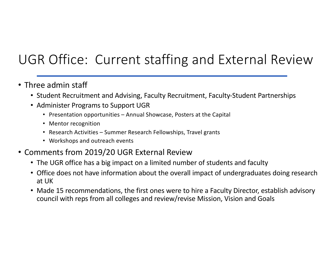# UGR Office: Current staffing and External Review

- Three admin staff
	- Student Recruitment and Advising, Faculty Recruitment, Faculty-Student Partnerships
	- Administer Programs to Support UGR
		- Presentation opportunities Annual Showcase, Posters at the Capital
		- Mentor recognition
		- Research Activities Summer Research Fellowships, Travel grants
		- Workshops and outreach events
- Comments from 2019/20 UGR External Review
	- The UGR office has a big impact on a limited number of students and faculty
	- Office does not have information about the overall impact of undergraduates doing research at UK
	- Made 15 recommendations, the first ones were to hire a Faculty Director, establish advisory council with reps from all colleges and review/revise Mission, Vision and Goals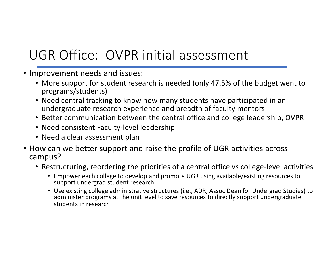# UGR Office: OVPR initial assessment

- Improvement needs and issues:
	- More support for student research is needed (only 47.5% of the budget went to programs/students)
	- Need central tracking to know how many students have participated in an undergraduate research experience and breadth of faculty mentors
	- Better communication between the central office and college leadership, OVPR
	- Need consistent Faculty-level leadership
	- Need a clear assessment plan
- How can we better support and raise the profile of UGR activities across campus?
	- Restructuring, reordering the priorities of a central office vs college-level activities
		- Empower each college to develop and promote UGR using available/existing resources to support undergrad student research
		- Use existing college administrative structures (i.e., ADR, Assoc Dean for Undergrad Studies) to administer programs at the unit level to save resources to directly support undergraduate students in research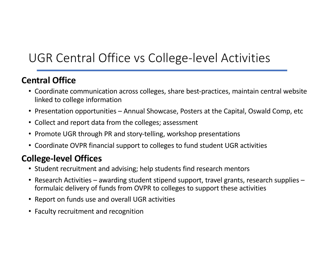# UGR Central Office vs College-level Activities

#### **Central Office**

- Coordinate communication across colleges, share best-practices, maintain central website linked to college information
- Presentation opportunities Annual Showcase, Posters at the Capital, Oswald Comp, etc
- Collect and report data from the colleges; assessment
- Promote UGR through PR and story-telling, workshop presentations
- Coordinate OVPR financial support to colleges to fund student UGR activities

#### **College-level Offices**

- Student recruitment and advising; help students find research mentors
- Research Activities awarding student stipend support, travel grants, research supplies formulaic delivery of funds from OVPR to colleges to support these activities
- Report on funds use and overall UGR activities
- Faculty recruitment and recognition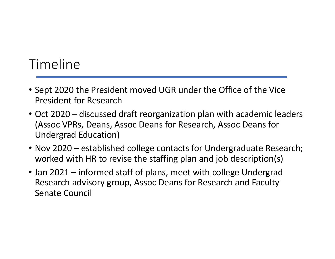# Timeline

- Sept 2020 the President moved UGR under the Office of the Vice President for Research
- Oct 2020 discussed draft reorganization plan with academic leaders (Assoc VPRs, Deans, Assoc Deans for Research, Assoc Deans for Undergrad Education)
- Nov 2020 established college contacts for Undergraduate Research; worked with HR to revise the staffing plan and job description(s)
- Jan 2021 informed staff of plans, meet with college Undergrad Research advisory group, Assoc Deans for Research and Faculty Senate Council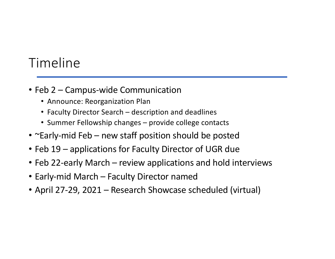# Timeline

- Feb 2 Campus-wide Communication
	- Announce: Reorganization Plan
	- Faculty Director Search description and deadlines
	- Summer Fellowship changes provide college contacts
- ~Early-mid Feb new staff position should be posted
- Feb 19 applications for Faculty Director of UGR due
- Feb 22-early March review applications and hold interviews
- Early-mid March Faculty Director named
- April 27-29, 2021 Research Showcase scheduled (virtual)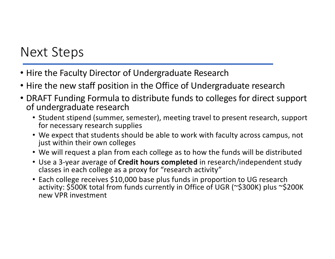## Next Steps

- Hire the Faculty Director of Undergraduate Research
- Hire the new staff position in the Office of Undergraduate research
- DRAFT Funding Formula to distribute funds to colleges for direct support of undergraduate research
	- Student stipend (summer, semester), meeting travel to present research, support for necessary research supplies
	- We expect that students should be able to work with faculty across campus, not just within their own colleges
	- We will request a plan from each college as to how the funds will be distributed
	- Use a 3-year average of **Credit hours completed** in research/independent study classes in each college as a proxy for "research activity"
	- Each college receives \$10,000 base plus funds in proportion to UG research activity: \$500K total from funds currently in Office of UGR (~\$300K) plus ~\$200K new VPR investment